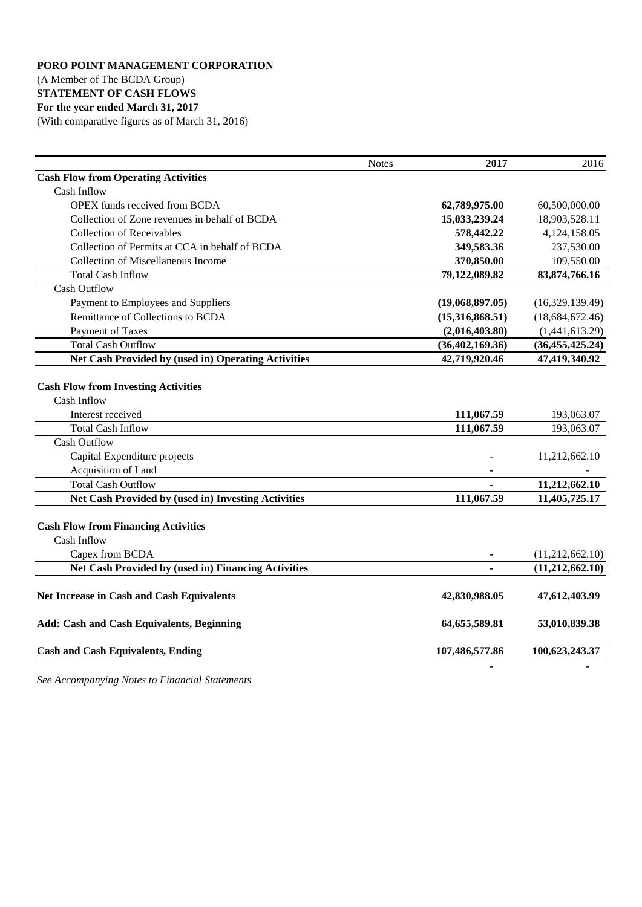# (A Member of The BCDA Group)

# **STATEMENT OF CASH FLOWS**

# **For the year ended March 31, 2017**

(With comparative figures as of March 31, 2016)

|                                                                                                            | <b>Notes</b> | 2017                     | 2016                     |
|------------------------------------------------------------------------------------------------------------|--------------|--------------------------|--------------------------|
| <b>Cash Flow from Operating Activities</b>                                                                 |              |                          |                          |
| Cash Inflow                                                                                                |              |                          |                          |
| <b>OPEX</b> funds received from BCDA                                                                       |              | 62,789,975.00            | 60,500,000.00            |
| Collection of Zone revenues in behalf of BCDA                                                              |              | 15,033,239.24            | 18,903,528.11            |
| <b>Collection of Receivables</b>                                                                           |              | 578,442.22               | 4,124,158.05             |
| Collection of Permits at CCA in behalf of BCDA                                                             |              | 349,583.36               | 237,530.00               |
| <b>Collection of Miscellaneous Income</b>                                                                  |              | 370,850.00               | 109,550.00               |
| <b>Total Cash Inflow</b>                                                                                   |              | 79,122,089.82            | 83, 874, 766. 16         |
| <b>Cash Outflow</b>                                                                                        |              |                          |                          |
| Payment to Employees and Suppliers                                                                         |              | (19,068,897.05)          | (16,329,139.49)          |
| Remittance of Collections to BCDA                                                                          |              | (15,316,868.51)          | (18,684,672.46)          |
| Payment of Taxes                                                                                           |              | (2,016,403.80)           | (1,441,613.29)           |
| <b>Total Cash Outflow</b>                                                                                  |              | (36, 402, 169.36)        | (36, 455, 425.24)        |
| Net Cash Provided by (used in) Operating Activities                                                        |              | 42,719,920.46            | 47,419,340.92            |
| <b>Cash Flow from Investing Activities</b><br>Cash Inflow<br>Interest received<br><b>Total Cash Inflow</b> |              | 111,067.59<br>111,067.59 | 193,063.07<br>193,063.07 |
| <b>Cash Outflow</b>                                                                                        |              |                          |                          |
| Capital Expenditure projects                                                                               |              |                          | 11,212,662.10            |
| Acquisition of Land                                                                                        |              |                          |                          |
| <b>Total Cash Outflow</b>                                                                                  |              |                          | 11,212,662.10            |
| Net Cash Provided by (used in) Investing Activities                                                        |              | 111,067.59               | 11,405,725.17            |
| <b>Cash Flow from Financing Activities</b><br>Cash Inflow                                                  |              |                          |                          |
| Capex from BCDA                                                                                            |              |                          | (11,212,662.10)          |
| Net Cash Provided by (used in) Financing Activities                                                        |              |                          | (11,212,662.10)          |
| Net Increase in Cash and Cash Equivalents                                                                  |              | 42,830,988.05            | 47,612,403.99            |
| <b>Add: Cash and Cash Equivalents, Beginning</b>                                                           |              | 64, 655, 589.81          | 53,010,839.38            |
| <b>Cash and Cash Equivalents, Ending</b>                                                                   |              | 107,486,577.86           | 100,623,243.37           |

*See Accompanying Notes to Financial Statements*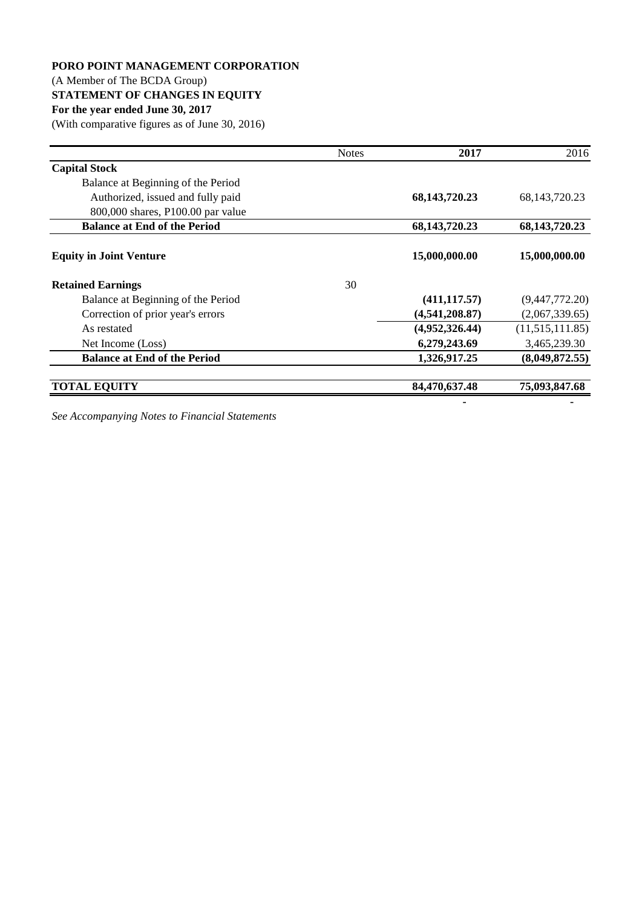#### (A Member of The BCDA Group)

### **STATEMENT OF CHANGES IN EQUITY**

#### **For the year ended June 30, 2017**

(With comparative figures as of June 30, 2016)

|                                     | <b>Notes</b> | 2017             | 2016             |
|-------------------------------------|--------------|------------------|------------------|
| <b>Capital Stock</b>                |              |                  |                  |
| Balance at Beginning of the Period  |              |                  |                  |
| Authorized, issued and fully paid   |              | 68, 143, 720. 23 | 68, 143, 720. 23 |
| 800,000 shares, P100.00 par value   |              |                  |                  |
| <b>Balance at End of the Period</b> |              | 68,143,720.23    | 68, 143, 720. 23 |
| <b>Equity in Joint Venture</b>      |              | 15,000,000.00    | 15,000,000.00    |
| <b>Retained Earnings</b>            | 30           |                  |                  |
| Balance at Beginning of the Period  |              | (411, 117.57)    | (9,447,772.20)   |
| Correction of prior year's errors   |              | (4,541,208.87)   | (2,067,339.65)   |
| As restated                         |              | (4,952,326.44)   | (11,515,111.85)  |
| Net Income (Loss)                   |              | 6,279,243.69     | 3,465,239.30     |
| <b>Balance at End of the Period</b> |              | 1,326,917.25     | (8,049,872.55)   |
| <b>TOTAL EQUITY</b>                 |              | 84,470,637.48    | 75,093,847.68    |
|                                     |              |                  |                  |

*See Accompanying Notes to Financial Statements*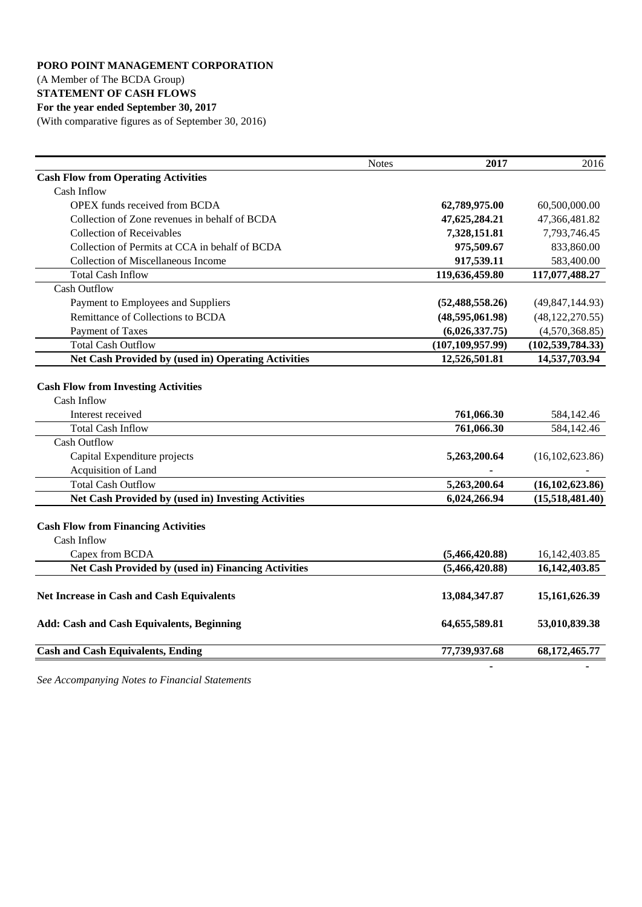### (A Member of The BCDA Group)

### **STATEMENT OF CASH FLOWS**

# **For the year ended September 30, 2017**

(With comparative figures as of September 30, 2016)

|                                                                                | <b>Notes</b> | 2017               | 2016               |
|--------------------------------------------------------------------------------|--------------|--------------------|--------------------|
| <b>Cash Flow from Operating Activities</b>                                     |              |                    |                    |
| Cash Inflow                                                                    |              |                    |                    |
| <b>OPEX</b> funds received from BCDA                                           |              | 62,789,975.00      | 60,500,000.00      |
| Collection of Zone revenues in behalf of BCDA                                  |              | 47,625,284.21      | 47,366,481.82      |
| <b>Collection of Receivables</b>                                               |              | 7,328,151.81       | 7,793,746.45       |
| Collection of Permits at CCA in behalf of BCDA                                 |              | 975,509.67         | 833,860.00         |
| <b>Collection of Miscellaneous Income</b>                                      |              | 917,539.11         | 583,400.00         |
| <b>Total Cash Inflow</b>                                                       |              | 119,636,459.80     | 117,077,488.27     |
| <b>Cash Outflow</b>                                                            |              |                    |                    |
| Payment to Employees and Suppliers                                             |              | (52, 488, 558.26)  | (49, 847, 144.93)  |
| Remittance of Collections to BCDA                                              |              | (48,595,061.98)    | (48, 122, 270.55)  |
| Payment of Taxes                                                               |              | (6,026,337.75)     | (4,570,368.85)     |
| <b>Total Cash Outflow</b>                                                      |              | (107, 109, 957.99) | (102, 539, 784.33) |
| Net Cash Provided by (used in) Operating Activities                            |              | 12,526,501.81      | 14,537,703.94      |
| <b>Cash Flow from Investing Activities</b><br>Cash Inflow<br>Interest received |              | 761,066.30         | 584,142.46         |
| <b>Total Cash Inflow</b>                                                       |              | 761,066.30         | 584,142.46         |
| <b>Cash Outflow</b>                                                            |              |                    |                    |
| Capital Expenditure projects                                                   |              | 5,263,200.64       | (16, 102, 623.86)  |
| Acquisition of Land                                                            |              |                    |                    |
| <b>Total Cash Outflow</b>                                                      |              | 5,263,200.64       | (16, 102, 623.86)  |
| <b>Net Cash Provided by (used in) Investing Activities</b>                     |              | 6,024,266.94       | (15,518,481.40)    |
| <b>Cash Flow from Financing Activities</b><br>Cash Inflow                      |              |                    |                    |
| Capex from BCDA                                                                |              | (5,466,420.88)     | 16, 142, 403. 85   |
| Net Cash Provided by (used in) Financing Activities                            |              | (5,466,420.88)     | 16,142,403.85      |
| Net Increase in Cash and Cash Equivalents                                      |              | 13,084,347.87      | 15,161,626.39      |
| <b>Add: Cash and Cash Equivalents, Beginning</b>                               |              | 64, 655, 589. 81   | 53,010,839.38      |
| <b>Cash and Cash Equivalents, Ending</b>                                       |              | 77,739,937.68      | 68, 172, 465. 77   |
|                                                                                |              |                    |                    |

*See Accompanying Notes to Financial Statements*